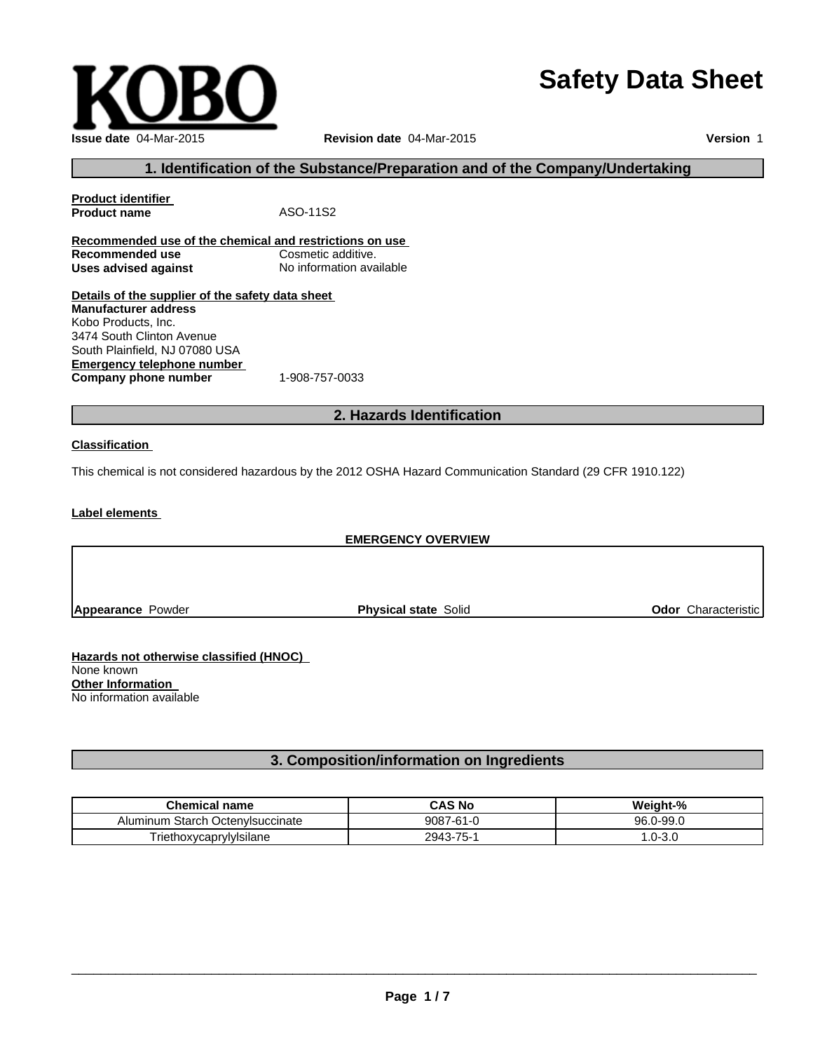# **Safety Data Sheet**

| e classified (HNOC): |  |
|----------------------|--|

**Hazards not otherwise classified (HNOC)** None known **Other Information** No information available

# **3. Composition/information on Ingredients**

| <b>Chemical name</b>                | <b>CAS No</b> | Weight-%   |
|-------------------------------------|---------------|------------|
| Starch Octenvisuccinate<br>Aluminum | 9087-61-0     | 96.0-99.0  |
| <sup>r</sup> iethoxycaprylylsilane  | 2943-75-1     | $.0 - 3.0$ |

 $\_$  , and the set of the set of the set of the set of the set of the set of the set of the set of the set of the set of the set of the set of the set of the set of the set of the set of the set of the set of the set of th

**Issue date** 04-Mar-2015 **Revision date** 04-Mar-2015

**Product name** ASO-11S2

**Details of the supplier of the safety data sheet**

**Company phone number** 1-908-757-0033

**Recommended use of the chemical and restrictions on use**

**Uses advised against** No information available

**Product identifier**

**Recommended use** 

**Manufacturer address** Kobo Products, Inc. 3474 South Clinton Avenue South Plainfield, NJ 07080 USA

**Emergency telephone number**

**Version** 1

# **EMERGENCY OVERVIEW**

**2. Hazards Identification**

**1. Identification of the Substance/Preparation and of the Company/Undertaking**

#### **Classification**

This chemical is not considered hazardous by the 2012 OSHA Hazard Communication Standard (29 CFR 1910.122)

**Label elements**

**Appearance** Powder **Physical state** Solid **Physical state** Solid **Physical State** Solid **Odor** Characteristic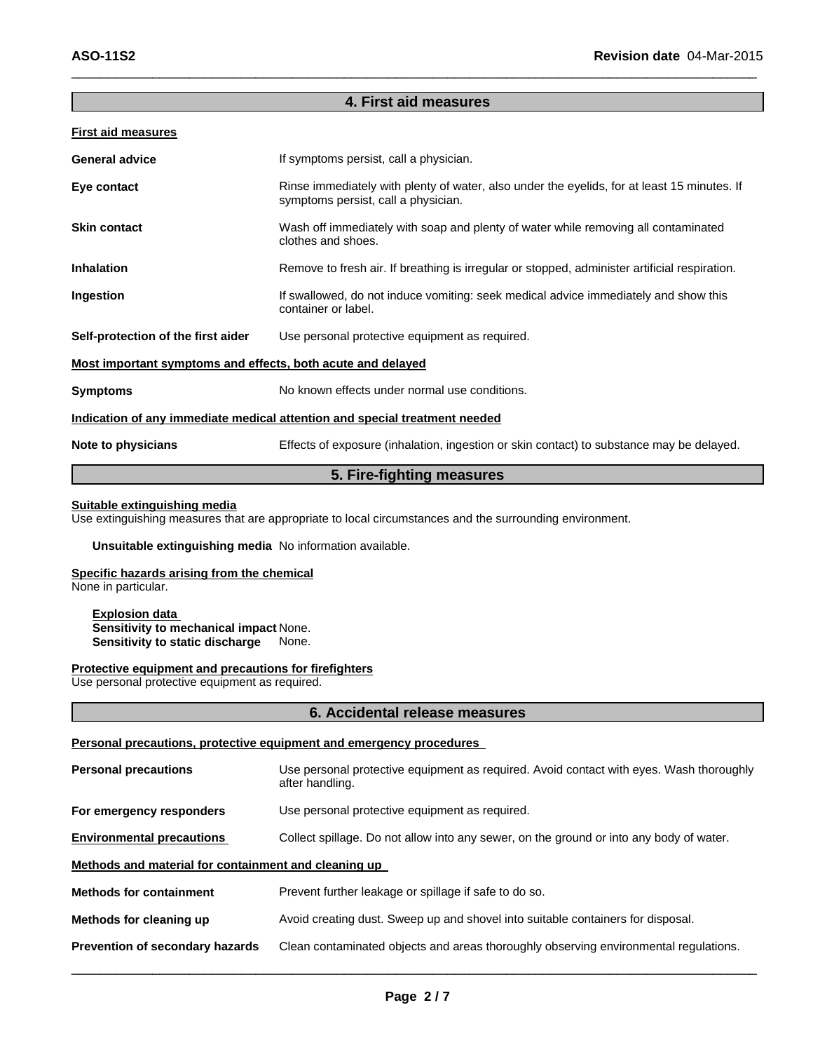#### **4. First aid measures**

 $\_$  , and the set of the set of the set of the set of the set of the set of the set of the set of the set of the set of the set of the set of the set of the set of the set of the set of the set of the set of the set of th

#### **First aid measures**

| <b>General advice</b>                                       | If symptoms persist, call a physician.                                                                                             |
|-------------------------------------------------------------|------------------------------------------------------------------------------------------------------------------------------------|
| Eye contact                                                 | Rinse immediately with plenty of water, also under the eyelids, for at least 15 minutes. If<br>symptoms persist, call a physician. |
| <b>Skin contact</b>                                         | Wash off immediately with soap and plenty of water while removing all contaminated<br>clothes and shoes.                           |
| <b>Inhalation</b>                                           | Remove to fresh air. If breathing is irregular or stopped, administer artificial respiration.                                      |
| Ingestion                                                   | If swallowed, do not induce vomiting: seek medical advice immediately and show this<br>container or label.                         |
| Self-protection of the first aider                          | Use personal protective equipment as required.                                                                                     |
| Most important symptoms and effects, both acute and delayed |                                                                                                                                    |
| <b>Symptoms</b>                                             | No known effects under normal use conditions.                                                                                      |
|                                                             | Indication of any immediate medical attention and special treatment needed                                                         |
| Note to physicians                                          | Effects of exposure (inhalation, ingestion or skin contact) to substance may be delayed.                                           |

#### **5. Fire-fighting measures**

#### **Suitable extinguishing media**

Use extinguishing measures that are appropriate to local circumstances and the surrounding environment.

#### **Unsuitable extinguishing media** No information available.

#### **Specific hazards arising from the chemical**

None in particular.

**Explosion data Sensitivity to mechanical impact** None. **Sensitivity to static discharge** None.

#### **Protective equipment and precautions for firefighters**

Use personal protective equipment as required.

#### **6. Accidental release measures**

#### **Personal precautions, protective equipment and emergency procedures**

| <b>Personal precautions</b>                          | Use personal protective equipment as required. Avoid contact with eyes. Wash thoroughly<br>after handling. |
|------------------------------------------------------|------------------------------------------------------------------------------------------------------------|
| For emergency responders                             | Use personal protective equipment as required.                                                             |
| <b>Environmental precautions</b>                     | Collect spillage. Do not allow into any sewer, on the ground or into any body of water.                    |
| Methods and material for containment and cleaning up |                                                                                                            |
| <b>Methods for containment</b>                       | Prevent further leakage or spillage if safe to do so.                                                      |
| Methods for cleaning up                              | Avoid creating dust. Sweep up and shovel into suitable containers for disposal.                            |
| Prevention of secondary hazards                      | Clean contaminated objects and areas thoroughly observing environmental regulations.                       |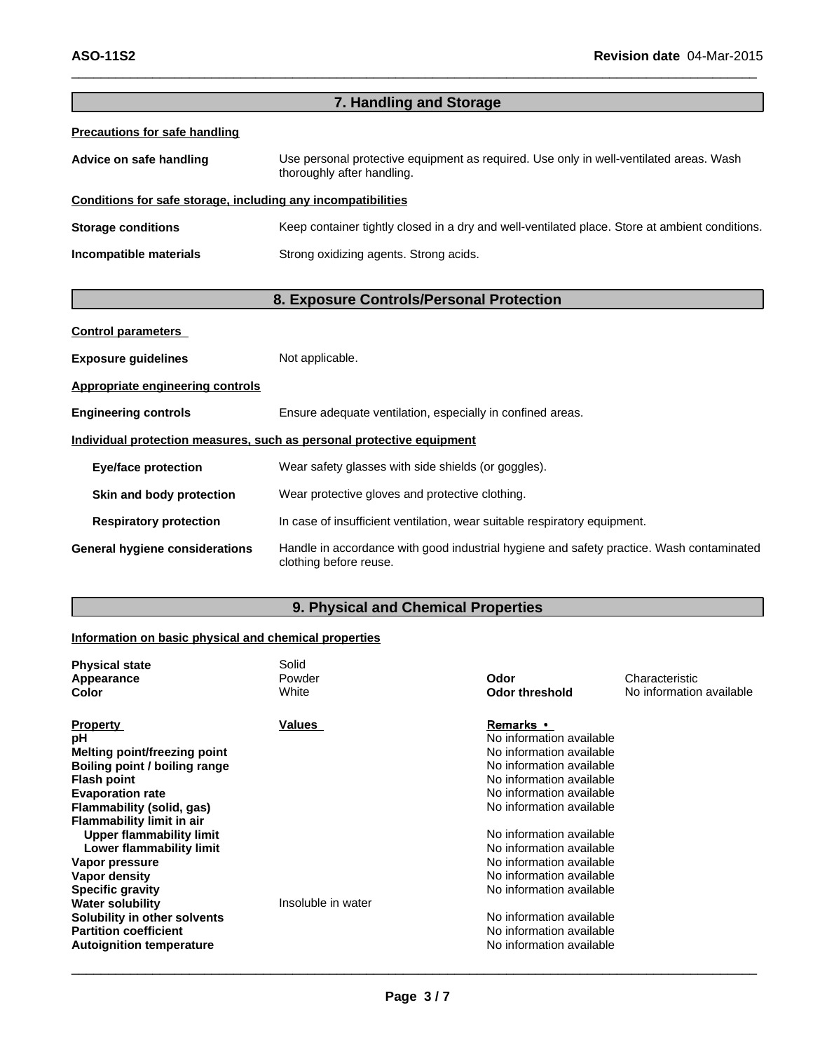| 7. Handling and Storage                                      |                                                                                                                      |  |
|--------------------------------------------------------------|----------------------------------------------------------------------------------------------------------------------|--|
| <b>Precautions for safe handling</b>                         |                                                                                                                      |  |
| Advice on safe handling                                      | Use personal protective equipment as required. Use only in well-ventilated areas. Wash<br>thoroughly after handling. |  |
| Conditions for safe storage, including any incompatibilities |                                                                                                                      |  |
| <b>Storage conditions</b>                                    | Keep container tightly closed in a dry and well-ventilated place. Store at ambient conditions.                       |  |
| Incompatible materials                                       | Strong oxidizing agents. Strong acids.                                                                               |  |
|                                                              |                                                                                                                      |  |
|                                                              | 8. Exposure Controls/Personal Protection                                                                             |  |

 $\_$  , and the set of the set of the set of the set of the set of the set of the set of the set of the set of the set of the set of the set of the set of the set of the set of the set of the set of the set of the set of th

| <b>Control parameters</b>               |                                                                                                                    |
|-----------------------------------------|--------------------------------------------------------------------------------------------------------------------|
| <b>Exposure guidelines</b>              | Not applicable.                                                                                                    |
| <b>Appropriate engineering controls</b> |                                                                                                                    |
| <b>Engineering controls</b>             | Ensure adequate ventilation, especially in confined areas.                                                         |
|                                         | Individual protection measures, such as personal protective equipment                                              |
| <b>Eye/face protection</b>              | Wear safety glasses with side shields (or goggles).                                                                |
| Skin and body protection                | Wear protective gloves and protective clothing.                                                                    |
| <b>Respiratory protection</b>           | In case of insufficient ventilation, wear suitable respiratory equipment.                                          |
| <b>General hygiene considerations</b>   | Handle in accordance with good industrial hygiene and safety practice. Wash contaminated<br>clothing before reuse. |

# **9. Physical and Chemical Properties**

# **Information on basic physical and chemical properties**

| Values<br><b>Property</b><br>Remarks •                      |  |
|-------------------------------------------------------------|--|
| No information available<br>рH                              |  |
| No information available<br>Melting point/freezing point    |  |
| Boiling point / boiling range<br>No information available   |  |
| No information available<br><b>Flash point</b>              |  |
| <b>Evaporation rate</b><br>No information available         |  |
| Flammability (solid, gas)<br>No information available       |  |
| <b>Flammability limit in air</b>                            |  |
| Upper flammability limit<br>No information available        |  |
| No information available<br>Lower flammability limit        |  |
| No information available<br>Vapor pressure                  |  |
| No information available<br>Vapor density                   |  |
| No information available<br><b>Specific gravity</b>         |  |
| <b>Water solubility</b><br>Insoluble in water               |  |
| No information available<br>Solubility in other solvents    |  |
| <b>Partition coefficient</b><br>No information available    |  |
| No information available<br><b>Autoignition temperature</b> |  |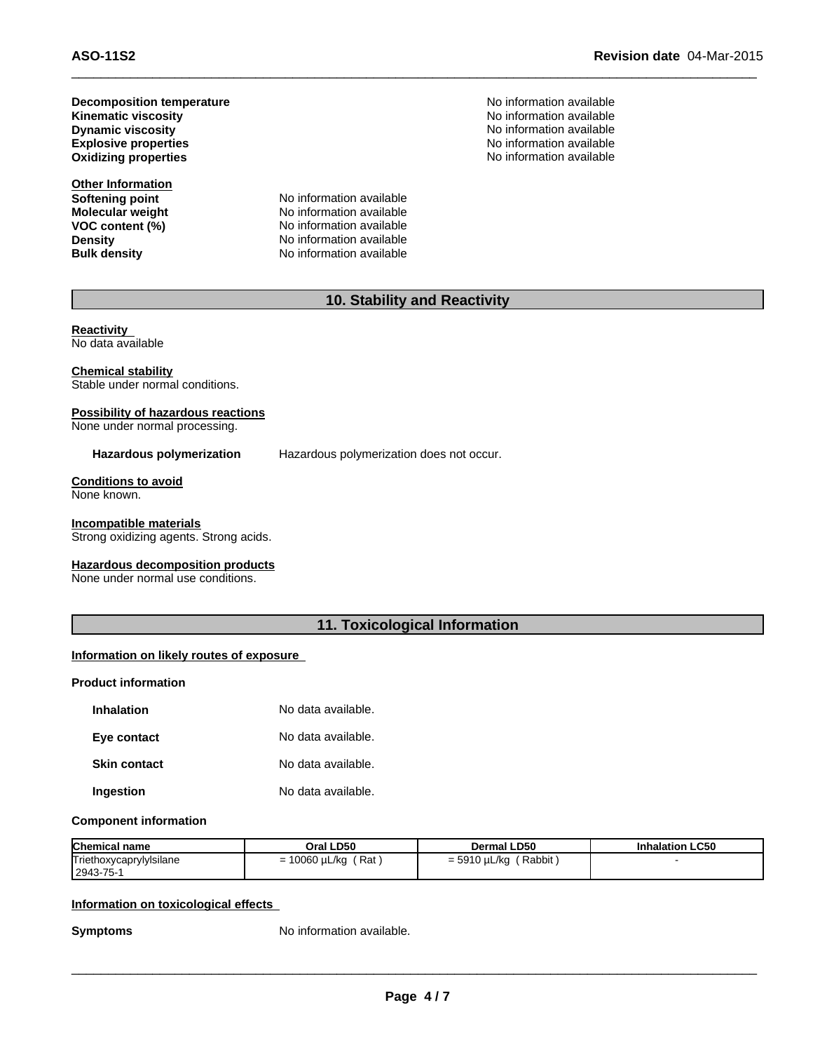**Kinematic viscosity Decomposition temperature Dynamic viscosity Dynamic viscosity No information available No** information available **Explosive properties Oxidizing properties**

**Other Information**

**Softening point** No information available<br> **Molecular weight** No information available **Molecular weight**<br> **VOC content (%)**<br>
No information available<br>
No information available **VOC content (%)**<br> **Content (%)**<br>
No information available<br>
No information available **Density Density No information available**<br> **Bulk density No information available No information available** 

No information available No information available No information available No information available

# **10. Stability and Reactivity**

 $\_$  , and the set of the set of the set of the set of the set of the set of the set of the set of the set of the set of the set of the set of the set of the set of the set of the set of the set of the set of the set of th

#### **Reactivity** No data available

**Chemical stability** Stable under normal conditions.

### **Possibility of hazardous reactions**

None under normal processing.

**Hazardous polymerization** Hazardous polymerization does not occur.

**Conditions to avoid** None known.

**Incompatible materials** Strong oxidizing agents. Strong acids.

**Hazardous decomposition products** None under normal use conditions.

### **11. Toxicological Information**

#### **Information on likely routes of exposure**

#### **Product information**

| <b>Inhalation</b>   | No data available. |
|---------------------|--------------------|
| Eye contact         | No data available. |
| <b>Skin contact</b> | No data available. |
| Ingestion           | No data available. |

#### **Component information**

| <b>Chemical name</b>                 | Oral LD50                                           | <b>Dermal LD50</b>          | <b>Inhalation LC50</b> |
|--------------------------------------|-----------------------------------------------------|-----------------------------|------------------------|
| Triethoxycaprylylsilane<br>2943-75-1 | Rat<br>10060 µL/kg<br>$\overline{\phantom{0}}$<br>- | Rabbit<br>$= 5910 \mu L/kg$ |                        |

#### **Information on toxicological effects**

**Symptoms** No information available.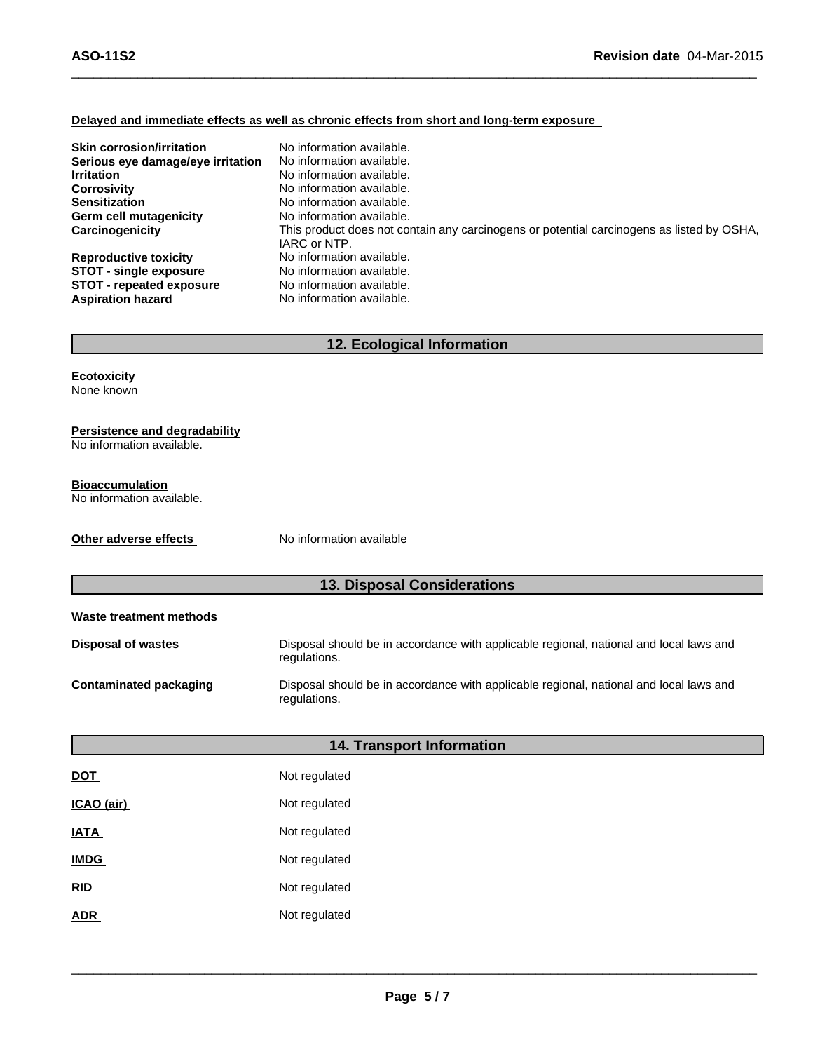#### **Delayed and immediate effects as well as chronic effects from short and long-term exposure**

| <b>Skin corrosion/irritation</b>                                                                                             | No information available.                                                                                                        |
|------------------------------------------------------------------------------------------------------------------------------|----------------------------------------------------------------------------------------------------------------------------------|
| Serious eye damage/eye irritation                                                                                            | No information available.                                                                                                        |
| <b>Irritation</b>                                                                                                            | No information available.                                                                                                        |
| <b>Corrosivity</b>                                                                                                           | No information available.                                                                                                        |
| <b>Sensitization</b>                                                                                                         | No information available.                                                                                                        |
| Germ cell mutagenicity                                                                                                       | No information available.                                                                                                        |
| Carcinogenicity                                                                                                              | This product does not contain any carcinogens or potential carcinogens as listed by OSHA,                                        |
| <b>Reproductive toxicity</b><br><b>STOT - single exposure</b><br><b>STOT - repeated exposure</b><br><b>Aspiration hazard</b> | IARC or NTP.<br>No information available.<br>No information available.<br>No information available.<br>No information available. |

 $\_$  , and the set of the set of the set of the set of the set of the set of the set of the set of the set of the set of the set of the set of the set of the set of the set of the set of the set of the set of the set of th

# **12. Ecological Information**

**Ecotoxicity** None known

#### **Persistence and degradability**

No information available.

#### **Bioaccumulation**

No information available.

**Other adverse effects** No information available

### **13. Disposal Considerations**

| Waste treatment methods   |                                                                                                        |
|---------------------------|--------------------------------------------------------------------------------------------------------|
| <b>Disposal of wastes</b> | Disposal should be in accordance with applicable regional, national and local laws and<br>regulations. |
| Contaminated packaging    | Disposal should be in accordance with applicable regional, national and local laws and<br>regulations. |

|                   | <b>14. Transport Information</b> |  |
|-------------------|----------------------------------|--|
| <u>DOT</u>        | Not regulated                    |  |
| <u>ICAO (air)</u> | Not regulated                    |  |
| <b>ATA</b>        | Not regulated                    |  |
| <b>IMDG</b>       | Not regulated                    |  |
| RID               | Not regulated                    |  |
| ADR               | Not regulated                    |  |
|                   |                                  |  |

 $\_$  , and the contribution of the contribution of the contribution of the contribution of  $\mathcal{L}_\text{max}$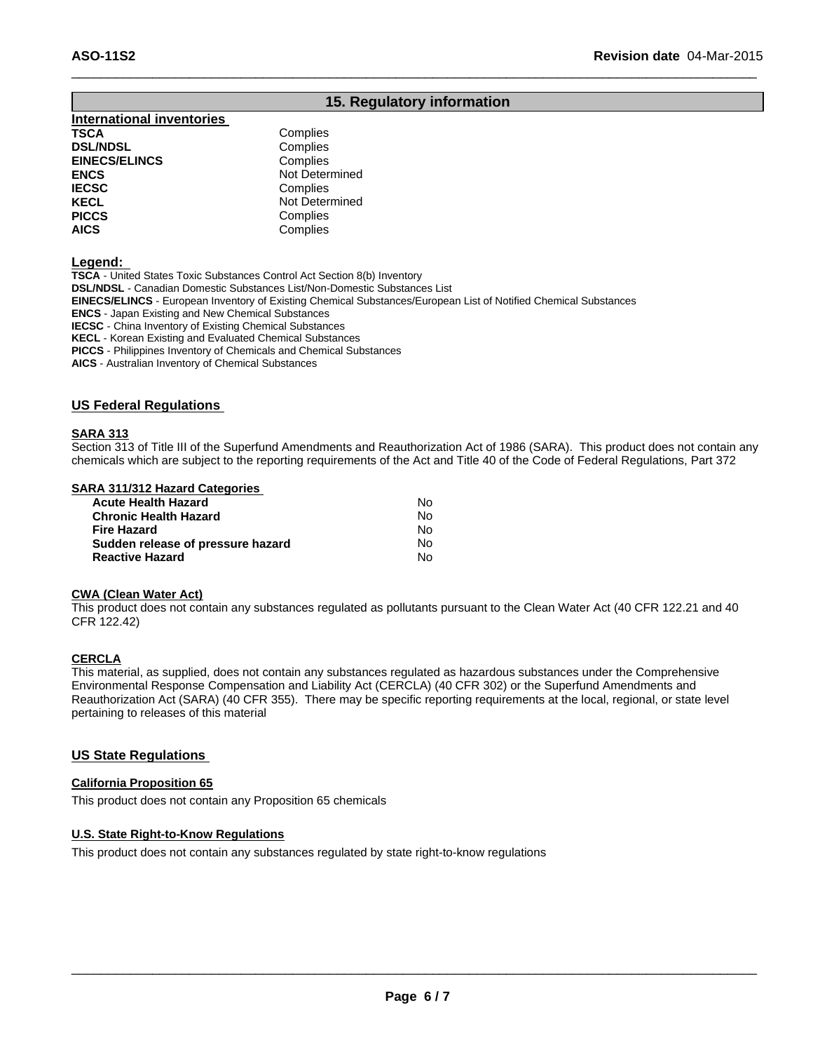# **15. Regulatory information**

 $\_$  , and the set of the set of the set of the set of the set of the set of the set of the set of the set of the set of the set of the set of the set of the set of the set of the set of the set of the set of the set of th

#### **International inventories TSCA** Complies **DSL/NDSL**<br> **EINECS/ELINCS EINECS/ELINCS Complies EINECS/ELINCS ENCS** Not Determined **IECSC** Complies<br> **IECEL** Not Deter

**KECL Not Determined**<br> **PICCS** Complies **PICCS** Complies<br> **AICS** Complies **AICS** Complies

#### **Legend:**

**TSCA** - United States Toxic Substances Control Act Section 8(b) Inventory **DSL/NDSL** - Canadian Domestic Substances List/Non-Domestic Substances List **EINECS/ELINCS** - European Inventory of Existing Chemical Substances/European List of Notified Chemical Substances **ENCS** - Japan Existing and New Chemical Substances **IECSC** - China Inventory of Existing Chemical Substances **KECL** - Korean Existing and Evaluated Chemical Substances **PICCS** - Philippines Inventory of Chemicals and Chemical Substances

**AICS** - Australian Inventory of Chemical Substances

#### **US Federal Regulations**

#### **SARA 313**

Section 313 of Title III of the Superfund Amendments and Reauthorization Act of 1986 (SARA). This product does not contain any chemicals which are subject to the reporting requirements of the Act and Title 40 of the Code of Federal Regulations, Part 372

#### **SARA 311/312 Hazard Categories**

| Acute Health Hazard               | N٥ |
|-----------------------------------|----|
| Chronic Health Hazard             | No |
| Fire Hazard                       | N٥ |
| Sudden release of pressure hazard | N٥ |
| <b>Reactive Hazard</b>            | N٥ |

#### **CWA (Clean Water Act)**

This product does not contain any substances regulated as pollutants pursuant to the Clean Water Act (40 CFR 122.21 and 40 CFR 122.42)

#### **CERCLA**

This material, as supplied, does not contain any substances regulated as hazardous substances under the Comprehensive Environmental Response Compensation and Liability Act (CERCLA) (40 CFR 302) or the Superfund Amendments and Reauthorization Act (SARA) (40 CFR 355). There may be specific reporting requirements at the local, regional, or state level pertaining to releases of this material

#### **US State Regulations**

#### **California Proposition 65**

This product does not contain any Proposition 65 chemicals

#### **U.S. State Right-to-Know Regulations**

This product does not contain any substances regulated by state right-to-know regulations